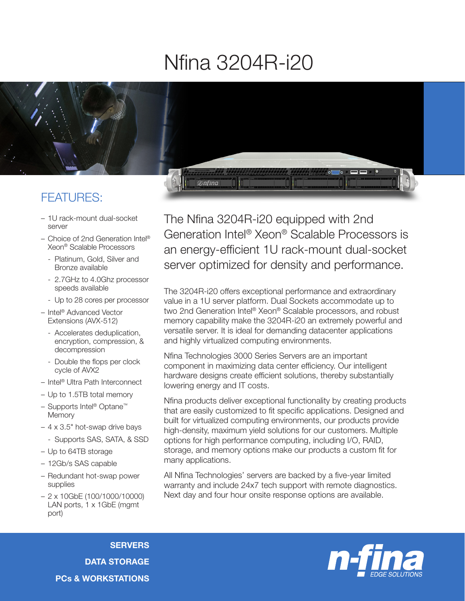## Nfina 3204R-i20



## FEATURES:

- 1U rack-mount dual-socket server
- Choice of 2nd Generation Intel® Xeon® Scalable Processors
	- Platinum, Gold, Silver and Bronze available
	- 2.7GHz to 4.0Ghz processor speeds available
	- Up to 28 cores per processor
- Intel® Advanced Vector Extensions (AVX-512)
	- Accelerates deduplication, encryption, compression, & decompression
	- Double the flops per clock cycle of AVX2
- Intel® Ultra Path Interconnect
- Up to 1.5TB total memory
- Supports Intel® Optane™ **Memory**
- 4 x 3.5" hot-swap drive bays
	- Supports SAS, SATA, & SSD
- Up to 64TB storage
- 12Gb/s SAS capable
- Redundant hot-swap power supplies
- 2 x 10GbE (100/1000/10000) LAN ports, 1 x 1GbE (mgmt port)

The Nfina 3204R-i20 equipped with 2nd Generation Intel® Xeon® Scalable Processors is an energy-efficient 1U rack-mount dual-socket server optimized for density and performance.

The 3204R-i20 offers exceptional performance and extraordinary value in a 1U server platform. Dual Sockets accommodate up to two 2nd Generation Intel® Xeon® Scalable processors, and robust memory capability make the 3204R-i20 an extremely powerful and versatile server. It is ideal for demanding datacenter applications and highly virtualized computing environments.

Nfina Technologies 3000 Series Servers are an important component in maximizing data center efficiency. Our intelligent hardware designs create efficient solutions, thereby substantially lowering energy and IT costs.

Nfina products deliver exceptional functionality by creating products that are easily customized to fit specific applications. Designed and built for virtualized computing environments, our products provide high-density, maximum yield solutions for our customers. Multiple options for high performance computing, including I/O, RAID, storage, and memory options make our products a custom fit for many applications.

All Nfina Technologies' servers are backed by a five-year limited warranty and include 24x7 tech support with remote diagnostics. Next day and four hour onsite response options are available.

**SERVERS** DATA STORAGE PCs & WORKSTATIONS

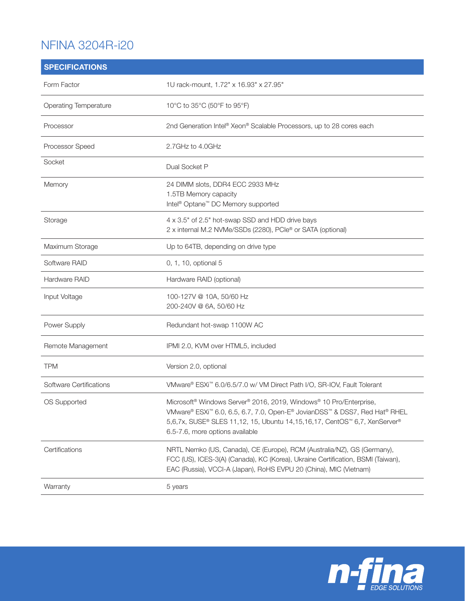## NFINA 3204R-i20

| <b>SPECIFICATIONS</b>        |                                                                                                                                                                                                                                                                                          |
|------------------------------|------------------------------------------------------------------------------------------------------------------------------------------------------------------------------------------------------------------------------------------------------------------------------------------|
| Form Factor                  | 1U rack-mount, 1.72" x 16.93" x 27.95"                                                                                                                                                                                                                                                   |
| <b>Operating Temperature</b> | 10°C to 35°C (50°F to 95°F)                                                                                                                                                                                                                                                              |
| Processor                    | 2nd Generation Intel <sup>®</sup> Xeon® Scalable Processors, up to 28 cores each                                                                                                                                                                                                         |
| Processor Speed              | 2.7GHz to 4.0GHz                                                                                                                                                                                                                                                                         |
| Socket                       | Dual Socket P                                                                                                                                                                                                                                                                            |
| Memory                       | 24 DIMM slots, DDR4 ECC 2933 MHz<br>1.5TB Memory capacity<br>Intel <sup>®</sup> Optane <sup>™</sup> DC Memory supported                                                                                                                                                                  |
| Storage                      | 4 x 3.5" of 2.5" hot-swap SSD and HDD drive bays<br>2 x internal M.2 NVMe/SSDs (2280), PCle® or SATA (optional)                                                                                                                                                                          |
| Maximum Storage              | Up to 64TB, depending on drive type                                                                                                                                                                                                                                                      |
| Software RAID                | 0, 1, 10, optional 5                                                                                                                                                                                                                                                                     |
| Hardware RAID                | Hardware RAID (optional)                                                                                                                                                                                                                                                                 |
| Input Voltage                | 100-127V @ 10A, 50/60 Hz<br>200-240V @ 6A, 50/60 Hz                                                                                                                                                                                                                                      |
| Power Supply                 | Redundant hot-swap 1100W AC                                                                                                                                                                                                                                                              |
| Remote Management            | IPMI 2.0, KVM over HTML5, included                                                                                                                                                                                                                                                       |
| <b>TPM</b>                   | Version 2.0, optional                                                                                                                                                                                                                                                                    |
| Software Certifications      | VMware® ESXi™ 6.0/6.5/7.0 w/ VM Direct Path I/O, SR-IOV, Fault Tolerant                                                                                                                                                                                                                  |
| OS Supported                 | Microsoft <sup>®</sup> Windows Server® 2016, 2019, Windows® 10 Pro/Enterprise,<br>VMware® ESXi <sup>™</sup> 6.0, 6.5, 6.7, 7.0, Open-E® JovianDSS™ & DSS7, Red Hat® RHEL<br>5,6,7x, SUSE® SLES 11,12, 15, Ubuntu 14,15,16,17, CentOS™ 6,7, XenServer®<br>6.5-7.6, more options available |
| Certifications               | NRTL Nemko (US, Canada), CE (Europe), RCM (Australia/NZ), GS (Germany),<br>FCC (US), ICES-3(A) (Canada), KC (Korea), Ukraine Certification, BSMI (Taiwan),<br>EAC (Russia), VCCI-A (Japan), RoHS EVPU 20 (China), MIC (Vietnam)                                                          |
| Warranty                     | 5 years                                                                                                                                                                                                                                                                                  |